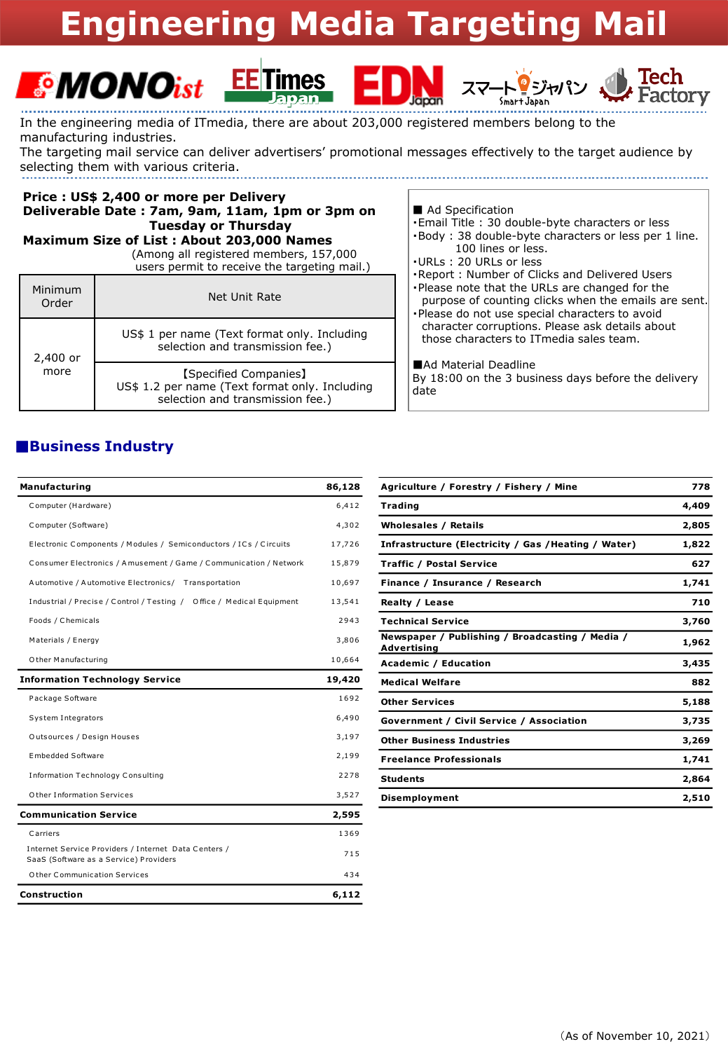# **Engineering Media Targeting**







In the engineering media of ITmedia, there are about 203,000 registered members belong to the manufacturing industries.

The targeting mail service can deliver advertisers' promotional messages effectively to the target audience by selecting them with various criteria. 

#### Price : US\$ 2,400 or more per Delivery Deliverable Date: 7am, 9am, 11am, 1pm or 3pm on **Tuesday or Thursday**

Maximum Size of List: About 203,000 Names

(Among all registered members, 157,000 users permit to receive the targeting mail.)

| Minimum<br>Order | Net Unit Rate                                                                                               |
|------------------|-------------------------------------------------------------------------------------------------------------|
| 2,400 or<br>more | US\$ 1 per name (Text format only. Including<br>selection and transmission fee.)                            |
|                  | [Specified Companies]<br>US\$ 1.2 per name (Text format only. Including<br>selection and transmission fee.) |

#### Ad Specification

- -Email Title: 30 double-byte characters or less ·Body: 38 double-byte characters or less per 1 line.
- 100 lines or less.
- .URLs: 20 URLs or less
- .Report: Number of Clicks and Delivered Users
- . Please note that the URLs are changed for the purpose of counting clicks when the emails are sent.
- -Please do not use special characters to avoid character corruptions. Please ask details about those characters to ITmedia sales team.

Ad Material Deadline

By 18:00 on the 3 business days before the delivery date

### **Business Industry**

| Manufacturing                                                                                  | 86,128 |
|------------------------------------------------------------------------------------------------|--------|
| Computer (Hardware)                                                                            | 6,412  |
| Computer (Software)                                                                            | 4,302  |
| Electronic Components / Modules / Semiconductors / ICs / Circuits                              | 17,726 |
| Consumer Electronics / Amusement / Game / Communication / Network                              | 15,879 |
| Automotive / Automotive Electronics/ Transportation                                            | 10,697 |
| Industrial / Precise / Control / Testing / Office / Medical Equipment                          | 13,541 |
| Foods / Chemicals                                                                              | 2943   |
| Materials / Energy                                                                             | 3,806  |
| O ther Manufacturing                                                                           | 10,664 |
| <b>Information Technology Service</b>                                                          | 19,420 |
| Package Software                                                                               | 1692   |
| System Integrators                                                                             | 6,490  |
| Outsources / Design Houses                                                                     | 3,197  |
| <b>Embedded Software</b>                                                                       | 2,199  |
| <b>Information Technology Consulting</b>                                                       | 2278   |
| O ther Information Services                                                                    | 3,527  |
| <b>Communication Service</b>                                                                   | 2,595  |
| Carriers                                                                                       | 1369   |
| Internet Service Providers / Internet Data Centers /<br>SaaS (Software as a Service) Providers | 715    |
| O ther Communication Services                                                                  | 434    |
| Construction                                                                                   | 6,112  |

| Agriculture / Forestry / Fishery / Mine                        | 778   |
|----------------------------------------------------------------|-------|
| <b>Trading</b>                                                 | 4,409 |
| <b>Wholesales / Retails</b>                                    | 2,805 |
| Infrastructure (Electricity / Gas / Heating / Water)           | 1,822 |
| <b>Traffic / Postal Service</b>                                | 627   |
| Finance / Insurance / Research                                 | 1,741 |
| Realty / Lease                                                 | 710   |
| <b>Technical Service</b>                                       | 3,760 |
| Newspaper / Publishing / Broadcasting / Media /<br>Advertising | 1,962 |
| <b>Academic / Education</b>                                    | 3,435 |
| <b>Medical Welfare</b>                                         | 882   |
| <b>Other Services</b>                                          | 5,188 |
| <b>Government / Civil Service / Association</b>                | 3,735 |
| <b>Other Business Industries</b>                               | 3,269 |
| <b>Freelance Professionals</b>                                 | 1,741 |
| <b>Students</b>                                                | 2,864 |
| <b>Disemployment</b>                                           | 2,510 |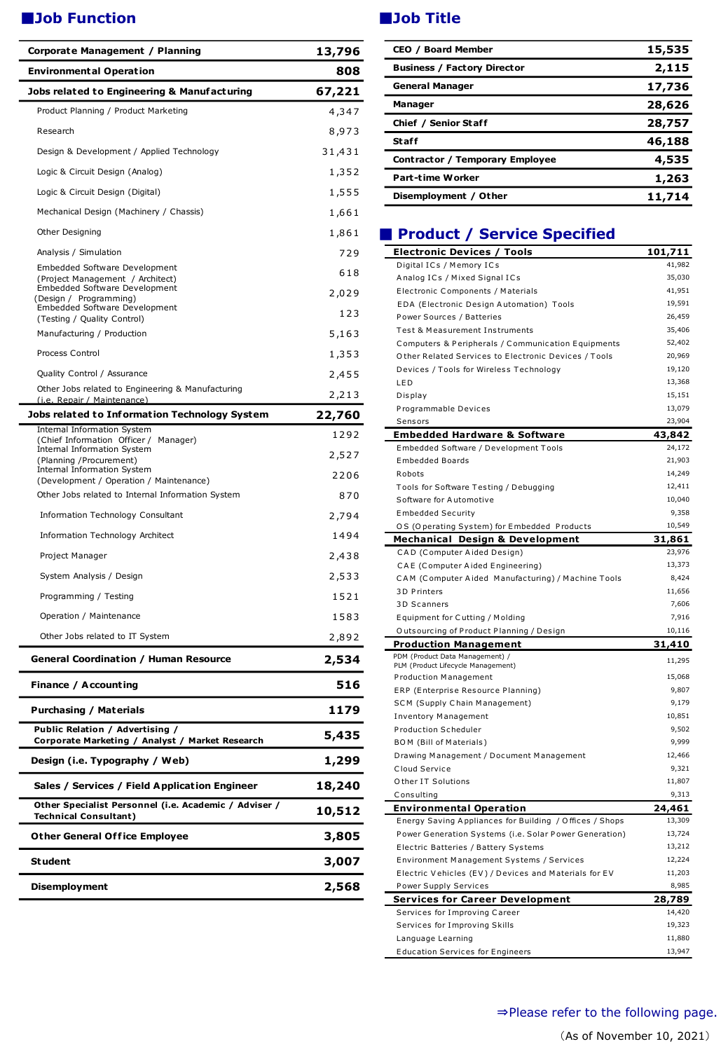# ■**Job Function** ■ **Web Title**

| <b>Environmental Operation</b><br>808<br>Jobs related to Engineering & Manufacturing<br>67,221<br>Product Planning / Product Marketing<br>4,347<br>Research<br>8,973<br>Design & Development / Applied Technology<br>31,431<br>Logic & Circuit Design (Analog)<br>1,352<br>Logic & Circuit Design (Digital)<br>1,555<br>Mechanical Design (Machinery / Chassis)<br>1,661<br>Other Designing<br>1,861<br>Analysis / Simulation<br>729<br>Embedded Software Development<br>618<br>(Project Management / Architect)<br>Embedded Software Development<br>2,029<br>(Design / Programming)<br>Embedded Software Development<br>123<br>(Testing / Quality Control)<br>Manufacturing / Production<br>5,163<br>Process Control<br>1,353<br>Quality Control / Assurance<br>2,455<br>Other Jobs related to Engineering & Manufacturing<br>2,213<br>(i.e. Repair / Maintenance)<br>Jobs related to Information Technology System<br>22,760 |
|--------------------------------------------------------------------------------------------------------------------------------------------------------------------------------------------------------------------------------------------------------------------------------------------------------------------------------------------------------------------------------------------------------------------------------------------------------------------------------------------------------------------------------------------------------------------------------------------------------------------------------------------------------------------------------------------------------------------------------------------------------------------------------------------------------------------------------------------------------------------------------------------------------------------------------|
|                                                                                                                                                                                                                                                                                                                                                                                                                                                                                                                                                                                                                                                                                                                                                                                                                                                                                                                                |
|                                                                                                                                                                                                                                                                                                                                                                                                                                                                                                                                                                                                                                                                                                                                                                                                                                                                                                                                |
|                                                                                                                                                                                                                                                                                                                                                                                                                                                                                                                                                                                                                                                                                                                                                                                                                                                                                                                                |
|                                                                                                                                                                                                                                                                                                                                                                                                                                                                                                                                                                                                                                                                                                                                                                                                                                                                                                                                |
|                                                                                                                                                                                                                                                                                                                                                                                                                                                                                                                                                                                                                                                                                                                                                                                                                                                                                                                                |
|                                                                                                                                                                                                                                                                                                                                                                                                                                                                                                                                                                                                                                                                                                                                                                                                                                                                                                                                |
|                                                                                                                                                                                                                                                                                                                                                                                                                                                                                                                                                                                                                                                                                                                                                                                                                                                                                                                                |
|                                                                                                                                                                                                                                                                                                                                                                                                                                                                                                                                                                                                                                                                                                                                                                                                                                                                                                                                |
|                                                                                                                                                                                                                                                                                                                                                                                                                                                                                                                                                                                                                                                                                                                                                                                                                                                                                                                                |
|                                                                                                                                                                                                                                                                                                                                                                                                                                                                                                                                                                                                                                                                                                                                                                                                                                                                                                                                |
|                                                                                                                                                                                                                                                                                                                                                                                                                                                                                                                                                                                                                                                                                                                                                                                                                                                                                                                                |
|                                                                                                                                                                                                                                                                                                                                                                                                                                                                                                                                                                                                                                                                                                                                                                                                                                                                                                                                |
|                                                                                                                                                                                                                                                                                                                                                                                                                                                                                                                                                                                                                                                                                                                                                                                                                                                                                                                                |
|                                                                                                                                                                                                                                                                                                                                                                                                                                                                                                                                                                                                                                                                                                                                                                                                                                                                                                                                |
|                                                                                                                                                                                                                                                                                                                                                                                                                                                                                                                                                                                                                                                                                                                                                                                                                                                                                                                                |
|                                                                                                                                                                                                                                                                                                                                                                                                                                                                                                                                                                                                                                                                                                                                                                                                                                                                                                                                |
|                                                                                                                                                                                                                                                                                                                                                                                                                                                                                                                                                                                                                                                                                                                                                                                                                                                                                                                                |
|                                                                                                                                                                                                                                                                                                                                                                                                                                                                                                                                                                                                                                                                                                                                                                                                                                                                                                                                |
| Internal Information System<br>1292<br>(Chief Information Officer / Manager)                                                                                                                                                                                                                                                                                                                                                                                                                                                                                                                                                                                                                                                                                                                                                                                                                                                   |
| Internal Information System<br>2,527<br>(Planning / Procurement)                                                                                                                                                                                                                                                                                                                                                                                                                                                                                                                                                                                                                                                                                                                                                                                                                                                               |
| Internal Information System<br>2206<br>(Development / Operation / Maintenance)                                                                                                                                                                                                                                                                                                                                                                                                                                                                                                                                                                                                                                                                                                                                                                                                                                                 |
| Other Jobs related to Internal Information System<br>870                                                                                                                                                                                                                                                                                                                                                                                                                                                                                                                                                                                                                                                                                                                                                                                                                                                                       |
| Information Technology Consultant<br>2,794                                                                                                                                                                                                                                                                                                                                                                                                                                                                                                                                                                                                                                                                                                                                                                                                                                                                                     |
| Information Technology Architect<br>1494                                                                                                                                                                                                                                                                                                                                                                                                                                                                                                                                                                                                                                                                                                                                                                                                                                                                                       |
| Project Manager<br>2,438                                                                                                                                                                                                                                                                                                                                                                                                                                                                                                                                                                                                                                                                                                                                                                                                                                                                                                       |
| System Analysis / Design<br>2,533                                                                                                                                                                                                                                                                                                                                                                                                                                                                                                                                                                                                                                                                                                                                                                                                                                                                                              |
| Programming / Testing<br>1521                                                                                                                                                                                                                                                                                                                                                                                                                                                                                                                                                                                                                                                                                                                                                                                                                                                                                                  |
| Operation / Maintenance<br>1583                                                                                                                                                                                                                                                                                                                                                                                                                                                                                                                                                                                                                                                                                                                                                                                                                                                                                                |
| Other Jobs related to IT System<br>2,892                                                                                                                                                                                                                                                                                                                                                                                                                                                                                                                                                                                                                                                                                                                                                                                                                                                                                       |
| <b>General Coordination / Human Resource</b><br>2,534                                                                                                                                                                                                                                                                                                                                                                                                                                                                                                                                                                                                                                                                                                                                                                                                                                                                          |
| Finance / Accounting<br>516                                                                                                                                                                                                                                                                                                                                                                                                                                                                                                                                                                                                                                                                                                                                                                                                                                                                                                    |
| 1179<br>Purchasing / Materials                                                                                                                                                                                                                                                                                                                                                                                                                                                                                                                                                                                                                                                                                                                                                                                                                                                                                                 |
| Public Relation / Advertising /<br>5,435<br>Corporate Marketing / Analyst / Market Research                                                                                                                                                                                                                                                                                                                                                                                                                                                                                                                                                                                                                                                                                                                                                                                                                                    |
| Design (i.e. Typography / Web)<br>1,299                                                                                                                                                                                                                                                                                                                                                                                                                                                                                                                                                                                                                                                                                                                                                                                                                                                                                        |
| 18,240<br>Sales / Services / Field Application Engineer                                                                                                                                                                                                                                                                                                                                                                                                                                                                                                                                                                                                                                                                                                                                                                                                                                                                        |
| Other Specialist Personnel (i.e. Academic / Adviser /<br>10,512<br><b>Technical Consultant)</b>                                                                                                                                                                                                                                                                                                                                                                                                                                                                                                                                                                                                                                                                                                                                                                                                                                |
| <b>Other General Office Employee</b><br>3,805                                                                                                                                                                                                                                                                                                                                                                                                                                                                                                                                                                                                                                                                                                                                                                                                                                                                                  |
| <b>Student</b><br>3,007                                                                                                                                                                                                                                                                                                                                                                                                                                                                                                                                                                                                                                                                                                                                                                                                                                                                                                        |
| Disemployment<br>2,568                                                                                                                                                                                                                                                                                                                                                                                                                                                                                                                                                                                                                                                                                                                                                                                                                                                                                                         |

| <b>CEO / Board Member</b>          | 15,535 |
|------------------------------------|--------|
| <b>Business / Factory Director</b> | 2,115  |
| <b>General Manager</b>             | 17,736 |
| Manager                            | 28,626 |
| Chief / Senior Staff               | 28,757 |
| Staff                              | 46,188 |
| Contractor / Temporary Employee    | 4,535  |
| <b>Part-time Worker</b>            | 1,263  |
| Disemployment / Other              | 11,714 |

# ■ **Product / Service Specified**

| <b>Electronic Devices / Tools</b>                               | <u>101,71</u> 1  |
|-----------------------------------------------------------------|------------------|
| Digital ICs / Memory ICs                                        | 41,982           |
| Analog ICs / Mixed Signal ICs                                   | 35,030           |
| Electronic Components / Materials                               | 41,951           |
| EDA (Electronic Design Automation) Tools                        | 19,591           |
| Power Sources / Batteries                                       | 26,459           |
| Test & Measurement Instruments                                  | 35,406           |
| Computers & Peripherals / Communication Equipments              | 52,402           |
| Other Related Services to Electronic Devices / Tools            | 20,969           |
| Devices / Tools for Wireless Technology                         | 19,120           |
| <b>LED</b>                                                      | 13,368           |
| Display                                                         | 15,151           |
| Programmable Devices                                            | 13,079           |
| Sensors                                                         | 23,904           |
| Embedded Hardware & Software                                    | 43,842           |
| Embedded Software / Development Tools                           | 24,172           |
| <b>Embedded Boards</b>                                          | 21,903           |
| Robots                                                          | 14,249           |
| Tools for Software Testing / Debugging                          | 12,411           |
| Software for Automotive                                         | 10,040           |
| <b>Embedded Security</b>                                        | 9,358            |
| OS (Operating System) for Embedded Products                     | 10,549           |
| <b>Mechanical Design &amp; Development</b>                      | 31,861           |
| CAD (Computer Aided Design)                                     | 23,976           |
| CAE (Computer Aided Engineering)                                | 13,373           |
| CAM (Computer Aided Manufacturing) / Machine Tools              | 8,424            |
| 3D Printers                                                     | 11,656           |
| 3D Scanners                                                     | 7,606            |
| Equipment for Cutting / Molding                                 | 7,916            |
| Outsourcing of Product Planning / Design                        | 10,116           |
| <b>Production Management</b><br>PDM (Product Data Management) / | 31,410           |
| PLM (Product Lifecycle Management)                              | 11,295           |
| <b>Production Management</b>                                    | 15,068           |
| ERP (Enterprise Resource Planning)                              | 9,807            |
| SCM (Supply Chain Management)                                   | 9,179            |
| <b>Inventory Management</b>                                     | 10,851           |
| <b>Production Scheduler</b>                                     | 9,502            |
| BOM (Bill of Materials)                                         | 9,999            |
| Drawing Management / Document Management                        | 12,466           |
| Cloud Service                                                   | 9,321            |
| Other IT Solutions                                              | 11,807           |
| Consulting                                                      | 9,313            |
| <b>Environmental Operation</b>                                  | 24,461           |
| Energy Saving Appliances for Building / Offices / Shops         | 13,309           |
| Power Generation Systems (i.e. Solar Power Generation)          | 13,724           |
| Electric Batteries / Battery Systems                            | 13,212           |
| Environment Management Systems / Services                       | 12,224           |
| Electric Vehicles (EV) / Devices and Materials for EV           | 11,203           |
| Power Supply Services                                           | 8,985            |
| <b>Services for Career Development</b>                          | 28,789           |
| Services for Improving Career                                   | 14,420           |
| Services for Improving Skills                                   | 19,323<br>11,880 |
| Language Learning                                               | 13,947           |
| <b>Education Services for Engineers</b>                         |                  |